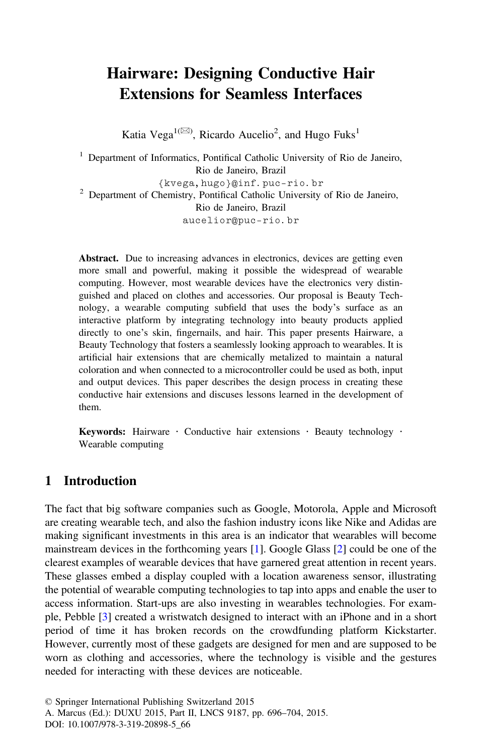# Hairware: Designing Conductive Hair Extensions for Seamless Interfaces

Katia Vega<sup>1( $\boxtimes$ )</sup>, Ricardo Aucelio<sup>2</sup>, and Hugo Fuks<sup>1</sup>

<sup>1</sup> Department of Informatics, Pontifical Catholic University of Rio de Janeiro, Rio de Janeiro, Brazil {kvega.hugo}@inf.puc-rio.br  $k^2$  Department of Chemistry, Pontifical Catholic University of Rio de Janeiro, Rio de Janeiro, Brazil aucelior@puc-rio.br aucelior@puc-rio.br

Abstract. Due to increasing advances in electronics, devices are getting even more small and powerful, making it possible the widespread of wearable computing. However, most wearable devices have the electronics very distinguished and placed on clothes and accessories. Our proposal is Beauty Technology, a wearable computing subfield that uses the body's surface as an interactive platform by integrating technology into beauty products applied directly to one's skin, fingernails, and hair. This paper presents Hairware, a Beauty Technology that fosters a seamlessly looking approach to wearables. It is artificial hair extensions that are chemically metalized to maintain a natural coloration and when connected to a microcontroller could be used as both, input and output devices. This paper describes the design process in creating these conductive hair extensions and discuses lessons learned in the development of them.

**Keywords:** Hairware  $\cdot$  Conductive hair extensions  $\cdot$  Beauty technology  $\cdot$  Wearable computing

## 1 Introduction

The fact that big software companies such as Google, Motorola, Apple and Microsoft are creating wearable tech, and also the fashion industry icons like Nike and Adidas are making significant investments in this area is an indicator that wearables will become mainstream devices in the forthcoming years [\[1](#page-8-0)]. Google Glass [[2\]](#page-8-0) could be one of the clearest examples of wearable devices that have garnered great attention in recent years. These glasses embed a display coupled with a location awareness sensor, illustrating the potential of wearable computing technologies to tap into apps and enable the user to access information. Start-ups are also investing in wearables technologies. For example, Pebble [\[3](#page-8-0)] created a wristwatch designed to interact with an iPhone and in a short period of time it has broken records on the crowdfunding platform Kickstarter. However, currently most of these gadgets are designed for men and are supposed to be worn as clothing and accessories, where the technology is visible and the gestures needed for interacting with these devices are noticeable.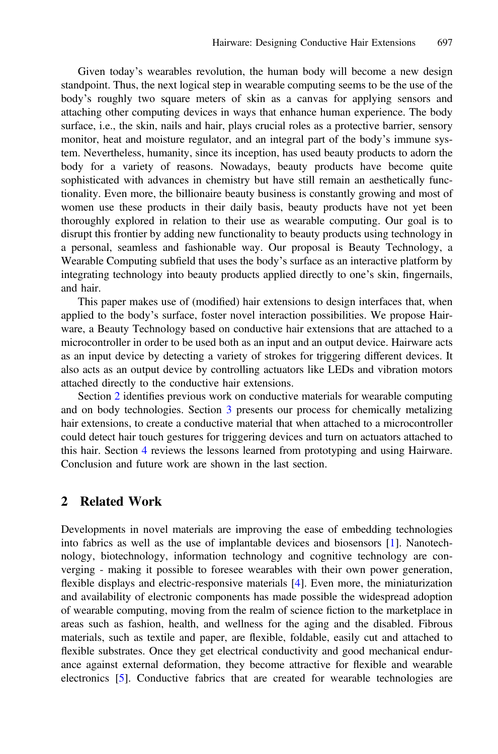Given today's wearables revolution, the human body will become a new design standpoint. Thus, the next logical step in wearable computing seems to be the use of the body's roughly two square meters of skin as a canvas for applying sensors and attaching other computing devices in ways that enhance human experience. The body surface, i.e., the skin, nails and hair, plays crucial roles as a protective barrier, sensory monitor, heat and moisture regulator, and an integral part of the body's immune system. Nevertheless, humanity, since its inception, has used beauty products to adorn the body for a variety of reasons. Nowadays, beauty products have become quite sophisticated with advances in chemistry but have still remain an aesthetically functionality. Even more, the billionaire beauty business is constantly growing and most of women use these products in their daily basis, beauty products have not yet been thoroughly explored in relation to their use as wearable computing. Our goal is to disrupt this frontier by adding new functionality to beauty products using technology in a personal, seamless and fashionable way. Our proposal is Beauty Technology, a Wearable Computing subfield that uses the body's surface as an interactive platform by integrating technology into beauty products applied directly to one's skin, fingernails, and hair.

This paper makes use of (modified) hair extensions to design interfaces that, when applied to the body's surface, foster novel interaction possibilities. We propose Hairware, a Beauty Technology based on conductive hair extensions that are attached to a microcontroller in order to be used both as an input and an output device. Hairware acts as an input device by detecting a variety of strokes for triggering different devices. It also acts as an output device by controlling actuators like LEDs and vibration motors attached directly to the conductive hair extensions.

Section 2 identifies previous work on conductive materials for wearable computing and on body technologies. Section [3](#page-3-0) presents our process for chemically metalizing hair extensions, to create a conductive material that when attached to a microcontroller could detect hair touch gestures for triggering devices and turn on actuators attached to this hair. Section [4](#page-6-0) reviews the lessons learned from prototyping and using Hairware. Conclusion and future work are shown in the last section.

### 2 Related Work

Developments in novel materials are improving the ease of embedding technologies into fabrics as well as the use of implantable devices and biosensors [[1](#page-8-0)]. Nanotechnology, biotechnology, information technology and cognitive technology are converging - making it possible to foresee wearables with their own power generation, flexible displays and electric-responsive materials [\[4](#page-8-0)]. Even more, the miniaturization and availability of electronic components has made possible the widespread adoption of wearable computing, moving from the realm of science fiction to the marketplace in areas such as fashion, health, and wellness for the aging and the disabled. Fibrous materials, such as textile and paper, are flexible, foldable, easily cut and attached to flexible substrates. Once they get electrical conductivity and good mechanical endurance against external deformation, they become attractive for flexible and wearable electronics [[5\]](#page-8-0). Conductive fabrics that are created for wearable technologies are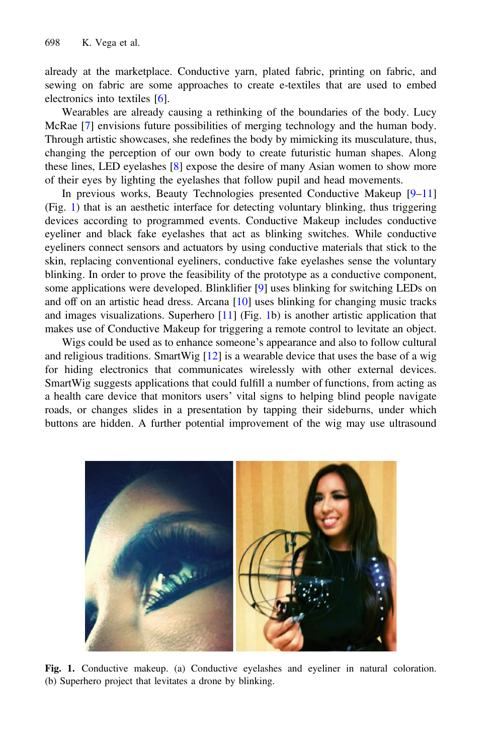already at the marketplace. Conductive yarn, plated fabric, printing on fabric, and sewing on fabric are some approaches to create e-textiles that are used to embed electronics into textiles [\[6](#page-8-0)].

Wearables are already causing a rethinking of the boundaries of the body. Lucy McRae [[7\]](#page-8-0) envisions future possibilities of merging technology and the human body. Through artistic showcases, she redefines the body by mimicking its musculature, thus, changing the perception of our own body to create futuristic human shapes. Along these lines, LED eyelashes [\[8](#page-8-0)] expose the desire of many Asian women to show more of their eyes by lighting the eyelashes that follow pupil and head movements.

In previous works, Beauty Technologies presented Conductive Makeup [\[9](#page-8-0)–[11](#page-8-0)] (Fig. 1) that is an aesthetic interface for detecting voluntary blinking, thus triggering devices according to programmed events. Conductive Makeup includes conductive eyeliner and black fake eyelashes that act as blinking switches. While conductive eyeliners connect sensors and actuators by using conductive materials that stick to the skin, replacing conventional eyeliners, conductive fake eyelashes sense the voluntary blinking. In order to prove the feasibility of the prototype as a conductive component, some applications were developed. Blinklifier [[9\]](#page-8-0) uses blinking for switching LEDs on and off on an artistic head dress. Arcana [[10\]](#page-8-0) uses blinking for changing music tracks and images visualizations. Superhero [[11\]](#page-8-0) (Fig. 1b) is another artistic application that makes use of Conductive Makeup for triggering a remote control to levitate an object.

Wigs could be used as to enhance someone's appearance and also to follow cultural and religious traditions. SmartWig  $[12]$  $[12]$  is a wearable device that uses the base of a wig for hiding electronics that communicates wirelessly with other external devices. SmartWig suggests applications that could fulfill a number of functions, from acting as a health care device that monitors users' vital signs to helping blind people navigate roads, or changes slides in a presentation by tapping their sideburns, under which buttons are hidden. A further potential improvement of the wig may use ultrasound



Fig. 1. Conductive makeup. (a) Conductive eyelashes and eyeliner in natural coloration. (b) Superhero project that levitates a drone by blinking.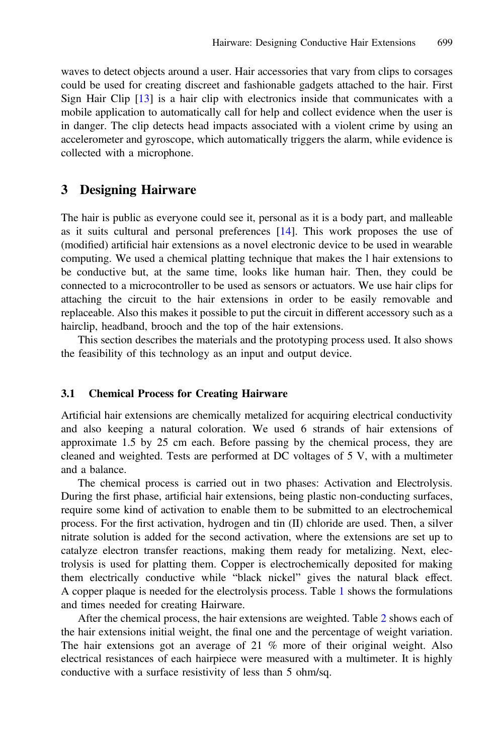<span id="page-3-0"></span>waves to detect objects around a user. Hair accessories that vary from clips to corsages could be used for creating discreet and fashionable gadgets attached to the hair. First Sign Hair Clip [\[13](#page-8-0)] is a hair clip with electronics inside that communicates with a mobile application to automatically call for help and collect evidence when the user is in danger. The clip detects head impacts associated with a violent crime by using an accelerometer and gyroscope, which automatically triggers the alarm, while evidence is collected with a microphone.

#### 3 Designing Hairware

The hair is public as everyone could see it, personal as it is a body part, and malleable as it suits cultural and personal preferences [\[14](#page-8-0)]. This work proposes the use of (modified) artificial hair extensions as a novel electronic device to be used in wearable computing. We used a chemical platting technique that makes the l hair extensions to be conductive but, at the same time, looks like human hair. Then, they could be connected to a microcontroller to be used as sensors or actuators. We use hair clips for attaching the circuit to the hair extensions in order to be easily removable and replaceable. Also this makes it possible to put the circuit in different accessory such as a hairclip, headband, brooch and the top of the hair extensions.

This section describes the materials and the prototyping process used. It also shows the feasibility of this technology as an input and output device.

#### 3.1 Chemical Process for Creating Hairware

Artificial hair extensions are chemically metalized for acquiring electrical conductivity and also keeping a natural coloration. We used 6 strands of hair extensions of approximate 1.5 by 25 cm each. Before passing by the chemical process, they are cleaned and weighted. Tests are performed at DC voltages of 5 V, with a multimeter and a balance.

The chemical process is carried out in two phases: Activation and Electrolysis. During the first phase, artificial hair extensions, being plastic non-conducting surfaces, require some kind of activation to enable them to be submitted to an electrochemical process. For the first activation, hydrogen and tin (II) chloride are used. Then, a silver nitrate solution is added for the second activation, where the extensions are set up to catalyze electron transfer reactions, making them ready for metalizing. Next, electrolysis is used for platting them. Copper is electrochemically deposited for making them electrically conductive while "black nickel" gives the natural black effect. A copper plaque is needed for the electrolysis process. Table [1](#page-4-0) shows the formulations and times needed for creating Hairware.

After the chemical process, the hair extensions are weighted. Table [2](#page-4-0) shows each of the hair extensions initial weight, the final one and the percentage of weight variation. The hair extensions got an average of 21 % more of their original weight. Also electrical resistances of each hairpiece were measured with a multimeter. It is highly conductive with a surface resistivity of less than 5 ohm/sq.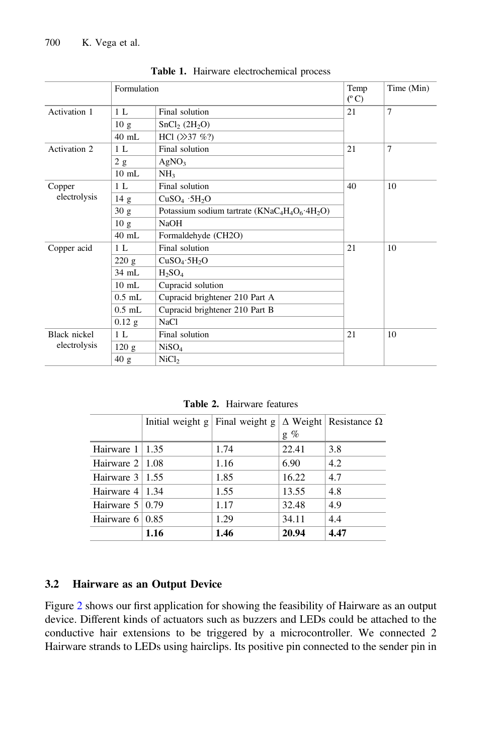<span id="page-4-0"></span>

|                              | Formulation     |                                                               |    | Time (Min)     |
|------------------------------|-----------------|---------------------------------------------------------------|----|----------------|
| Activation 1                 | 1 L             | Final solution                                                | 21 | $\overline{7}$ |
|                              | 10g             | SnCl <sub>2</sub> (2H <sub>2</sub> O)                         |    |                |
|                              | $40$ mL         | HCl $(\gg)37$ %?)                                             |    |                |
| Activation 2                 | 1 <sub>L</sub>  | Final solution                                                | 21 | $\overline{7}$ |
|                              | 2g              | AgNO <sub>3</sub>                                             |    |                |
|                              | $10 \text{ mL}$ | NH <sub>3</sub>                                               |    |                |
| Copper<br>electrolysis       | 1 <sub>L</sub>  | Final solution                                                | 40 | 10             |
|                              | 14 g            | $CuSO4 \cdot 5H2O$                                            |    |                |
|                              | 30 g            | Potassium sodium tartrate ( $KNaC_4H_4O_6$ 4H <sub>2</sub> O) |    |                |
|                              | 10g             | <b>NaOH</b>                                                   |    |                |
|                              | $40$ mL         | Formaldehyde (CH2O)                                           |    |                |
| Copper acid                  | 1 <sub>L</sub>  | Final solution                                                | 21 | 10             |
|                              | 220 g           | CuSO <sub>4</sub> ·5H <sub>2</sub> O                          |    |                |
|                              | 34 mL           | $H_2SO_4$                                                     |    |                |
|                              | $10 \text{ mL}$ | Cupracid solution                                             |    |                |
|                              | $0.5$ mL        | Cupracid brightener 210 Part A                                |    |                |
|                              | $0.5$ mL        | Cupracid brightener 210 Part B                                |    |                |
|                              | $0.12$ g        | <b>NaCl</b>                                                   |    |                |
| Black nickel<br>electrolysis | 1 L             | Final solution                                                | 21 | 10             |
|                              | 120 g           | NiSO <sub>4</sub>                                             |    |                |
|                              | 40 g            | NiCl <sub>2</sub>                                             |    |                |

Table 1. Hairware electrochemical process

Table 2. Hairware features

|                        | Initial weight g   Final weight g $\Delta$ Weight   Resistance $\Omega$ |      |        |      |
|------------------------|-------------------------------------------------------------------------|------|--------|------|
|                        |                                                                         |      | $g \%$ |      |
| Hairware $1 \mid 1.35$ |                                                                         | 1.74 | 22.41  | 3.8  |
| Hairware $2 \mid 1.08$ |                                                                         | 1.16 | 6.90   | 4.2  |
| Hairware $3 \mid 1.55$ |                                                                         | 1.85 | 16.22  | 4.7  |
| Hairware $4 \mid 1.34$ |                                                                         | 1.55 | 13.55  | 4.8  |
| Hairware $5 \mid 0.79$ |                                                                         | 1.17 | 32.48  | 4.9  |
| Hairware $6 \mid 0.85$ |                                                                         | 1.29 | 34.11  | 4.4  |
|                        | 1.16                                                                    | 1.46 | 20.94  | 4.47 |

#### 3.2 Hairware as an Output Device

Figure [2](#page-5-0) shows our first application for showing the feasibility of Hairware as an output device. Different kinds of actuators such as buzzers and LEDs could be attached to the conductive hair extensions to be triggered by a microcontroller. We connected 2 Hairware strands to LEDs using hairclips. Its positive pin connected to the sender pin in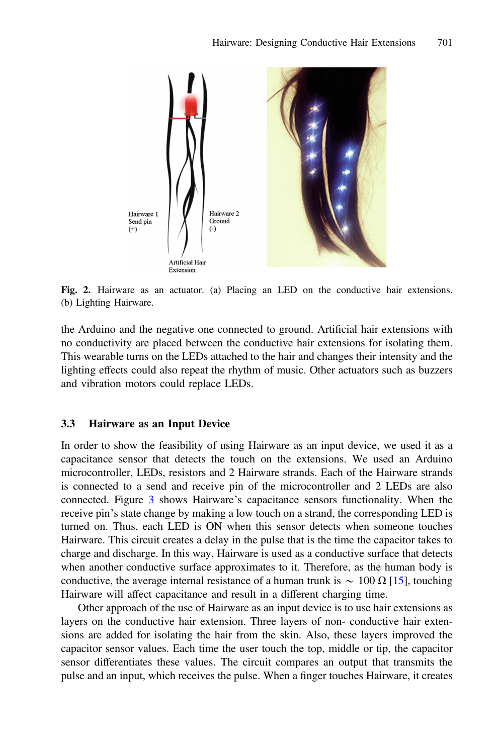<span id="page-5-0"></span>

Fig. 2. Hairware as an actuator. (a) Placing an LED on the conductive hair extensions. (b) Lighting Hairware.

the Arduino and the negative one connected to ground. Artificial hair extensions with no conductivity are placed between the conductive hair extensions for isolating them. This wearable turns on the LEDs attached to the hair and changes their intensity and the lighting effects could also repeat the rhythm of music. Other actuators such as buzzers and vibration motors could replace LEDs.

#### 3.3 Hairware as an Input Device

In order to show the feasibility of using Hairware as an input device, we used it as a capacitance sensor that detects the touch on the extensions. We used an Arduino microcontroller, LEDs, resistors and 2 Hairware strands. Each of the Hairware strands is connected to a send and receive pin of the microcontroller and 2 LEDs are also connected. Figure [3](#page-6-0) shows Hairware's capacitance sensors functionality. When the receive pin's state change by making a low touch on a strand, the corresponding LED is turned on. Thus, each LED is ON when this sensor detects when someone touches Hairware. This circuit creates a delay in the pulse that is the time the capacitor takes to charge and discharge. In this way, Hairware is used as a conductive surface that detects when another conductive surface approximates to it. Therefore, as the human body is conductive, the average internal resistance of a human trunk is  $\sim 100 \Omega$  [[15\]](#page-8-0), touching Hairware will affect capacitance and result in a different charging time.

Other approach of the use of Hairware as an input device is to use hair extensions as layers on the conductive hair extension. Three layers of non- conductive hair extensions are added for isolating the hair from the skin. Also, these layers improved the capacitor sensor values. Each time the user touch the top, middle or tip, the capacitor sensor differentiates these values. The circuit compares an output that transmits the pulse and an input, which receives the pulse. When a finger touches Hairware, it creates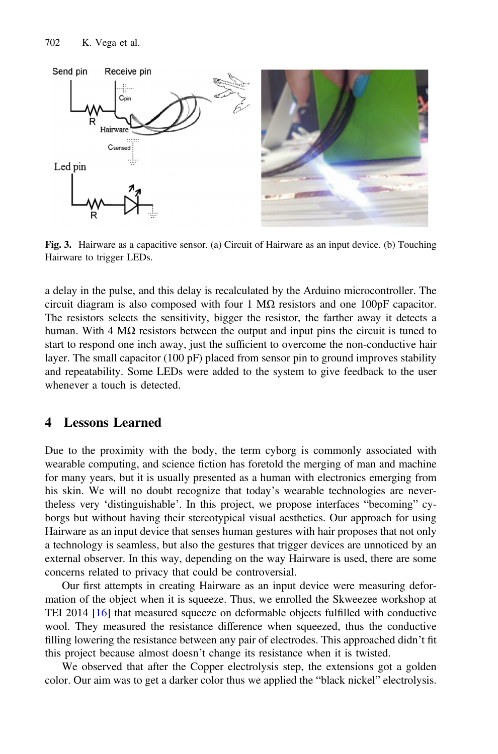<span id="page-6-0"></span>

Fig. 3. Hairware as a capacitive sensor. (a) Circuit of Hairware as an input device. (b) Touching Hairware to trigger LEDs.

a delay in the pulse, and this delay is recalculated by the Arduino microcontroller. The circuit diagram is also composed with four 1 M $\Omega$  resistors and one 100pF capacitor. The resistors selects the sensitivity, bigger the resistor, the farther away it detects a human. With 4  $\text{M}\Omega$  resistors between the output and input pins the circuit is tuned to start to respond one inch away, just the sufficient to overcome the non-conductive hair layer. The small capacitor (100 pF) placed from sensor pin to ground improves stability and repeatability. Some LEDs were added to the system to give feedback to the user whenever a touch is detected.

### 4 Lessons Learned

Due to the proximity with the body, the term cyborg is commonly associated with wearable computing, and science fiction has foretold the merging of man and machine for many years, but it is usually presented as a human with electronics emerging from his skin. We will no doubt recognize that today's wearable technologies are nevertheless very 'distinguishable'. In this project, we propose interfaces "becoming" cyborgs but without having their stereotypical visual aesthetics. Our approach for using Hairware as an input device that senses human gestures with hair proposes that not only a technology is seamless, but also the gestures that trigger devices are unnoticed by an external observer. In this way, depending on the way Hairware is used, there are some concerns related to privacy that could be controversial.

Our first attempts in creating Hairware as an input device were measuring deformation of the object when it is squeeze. Thus, we enrolled the Skweezee workshop at TEI 2014 [[16\]](#page-8-0) that measured squeeze on deformable objects fulfilled with conductive wool. They measured the resistance difference when squeezed, thus the conductive filling lowering the resistance between any pair of electrodes. This approached didn't fit this project because almost doesn't change its resistance when it is twisted.

We observed that after the Copper electrolysis step, the extensions got a golden color. Our aim was to get a darker color thus we applied the "black nickel" electrolysis.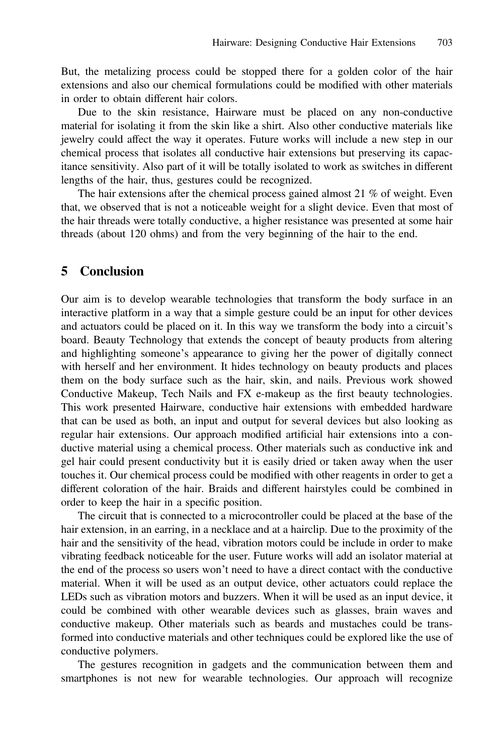But, the metalizing process could be stopped there for a golden color of the hair extensions and also our chemical formulations could be modified with other materials in order to obtain different hair colors.

Due to the skin resistance, Hairware must be placed on any non-conductive material for isolating it from the skin like a shirt. Also other conductive materials like jewelry could affect the way it operates. Future works will include a new step in our chemical process that isolates all conductive hair extensions but preserving its capacitance sensitivity. Also part of it will be totally isolated to work as switches in different lengths of the hair, thus, gestures could be recognized.

The hair extensions after the chemical process gained almost 21 % of weight. Even that, we observed that is not a noticeable weight for a slight device. Even that most of the hair threads were totally conductive, a higher resistance was presented at some hair threads (about 120 ohms) and from the very beginning of the hair to the end.

### 5 Conclusion

Our aim is to develop wearable technologies that transform the body surface in an interactive platform in a way that a simple gesture could be an input for other devices and actuators could be placed on it. In this way we transform the body into a circuit's board. Beauty Technology that extends the concept of beauty products from altering and highlighting someone's appearance to giving her the power of digitally connect with herself and her environment. It hides technology on beauty products and places them on the body surface such as the hair, skin, and nails. Previous work showed Conductive Makeup, Tech Nails and FX e-makeup as the first beauty technologies. This work presented Hairware, conductive hair extensions with embedded hardware that can be used as both, an input and output for several devices but also looking as regular hair extensions. Our approach modified artificial hair extensions into a conductive material using a chemical process. Other materials such as conductive ink and gel hair could present conductivity but it is easily dried or taken away when the user touches it. Our chemical process could be modified with other reagents in order to get a different coloration of the hair. Braids and different hairstyles could be combined in order to keep the hair in a specific position.

The circuit that is connected to a microcontroller could be placed at the base of the hair extension, in an earring, in a necklace and at a hairclip. Due to the proximity of the hair and the sensitivity of the head, vibration motors could be include in order to make vibrating feedback noticeable for the user. Future works will add an isolator material at the end of the process so users won't need to have a direct contact with the conductive material. When it will be used as an output device, other actuators could replace the LEDs such as vibration motors and buzzers. When it will be used as an input device, it could be combined with other wearable devices such as glasses, brain waves and conductive makeup. Other materials such as beards and mustaches could be transformed into conductive materials and other techniques could be explored like the use of conductive polymers.

The gestures recognition in gadgets and the communication between them and smartphones is not new for wearable technologies. Our approach will recognize